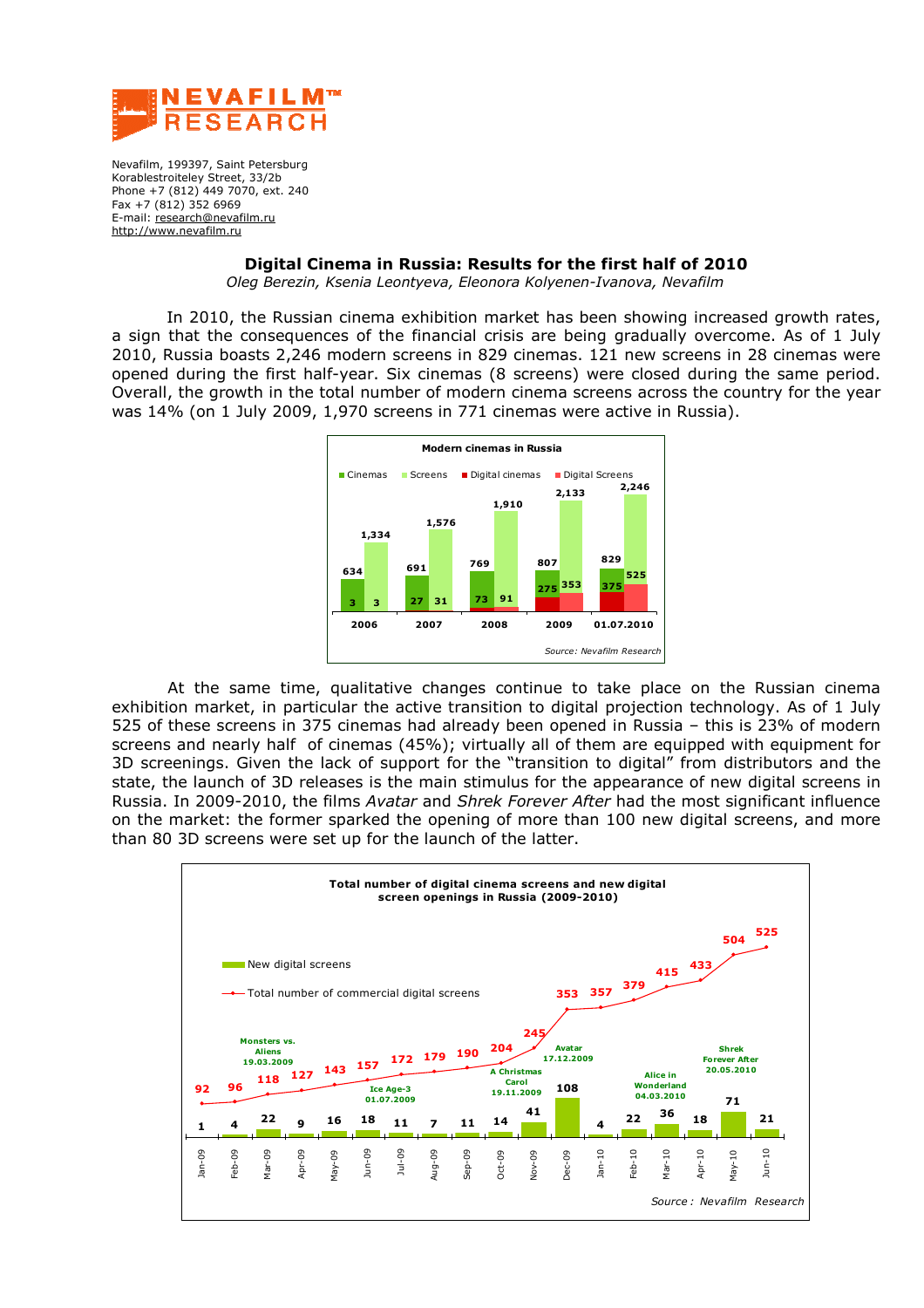

Nevafilm, 199397, Saint Petersburg Korablestroiteleу Street, 33/2b Phone +7 (812) 449 7070, ext. 240 Fax +7 (812) 352 6969 E-mail: research@nevafilm.ru <http://www.nevafilm.ru>

## **Digital Cinema in Russia: Results for the first half of 2010**

*Oleg Berezin, Ksenia Leontyeva, Eleonora Kolyenen-Ivanova, Nevafilm* 

 In 2010, the Russian cinema exhibition market has been showing increased growth rates, a sign that the consequences of the financial crisis are being gradually overcome. As of 1 July 2010, Russia boasts 2,246 modern screens in 829 cinemas. 121 new screens in 28 cinemas were opened during the first half-year. Six cinemas (8 screens) were closed during the same period. Overall, the growth in the total number of modern cinema screens across the country for the year was 14% (on 1 July 2009, 1,970 screens in 771 cinemas were active in Russia).



At the same time, qualitative changes continue to take place on the Russian cinema exhibition market, in particular the active transition to digital projection technology. As of 1 July 525 of these screens in 375 cinemas had already been opened in Russia – this is 23% of modern screens and nearly half of cinemas (45%); virtually all of them are equipped with equipment for 3D screenings. Given the lack of support for the "transition to digital" from distributors and the state, the launch of 3D releases is the main stimulus for the appearance of new digital screens in Russia. In 2009-2010, the films *Avatar* and *Shrek Forever After* had the most significant influence on the market: the former sparked the opening of more than 100 new digital screens, and more than 80 3D screens were set up for the launch of the latter.

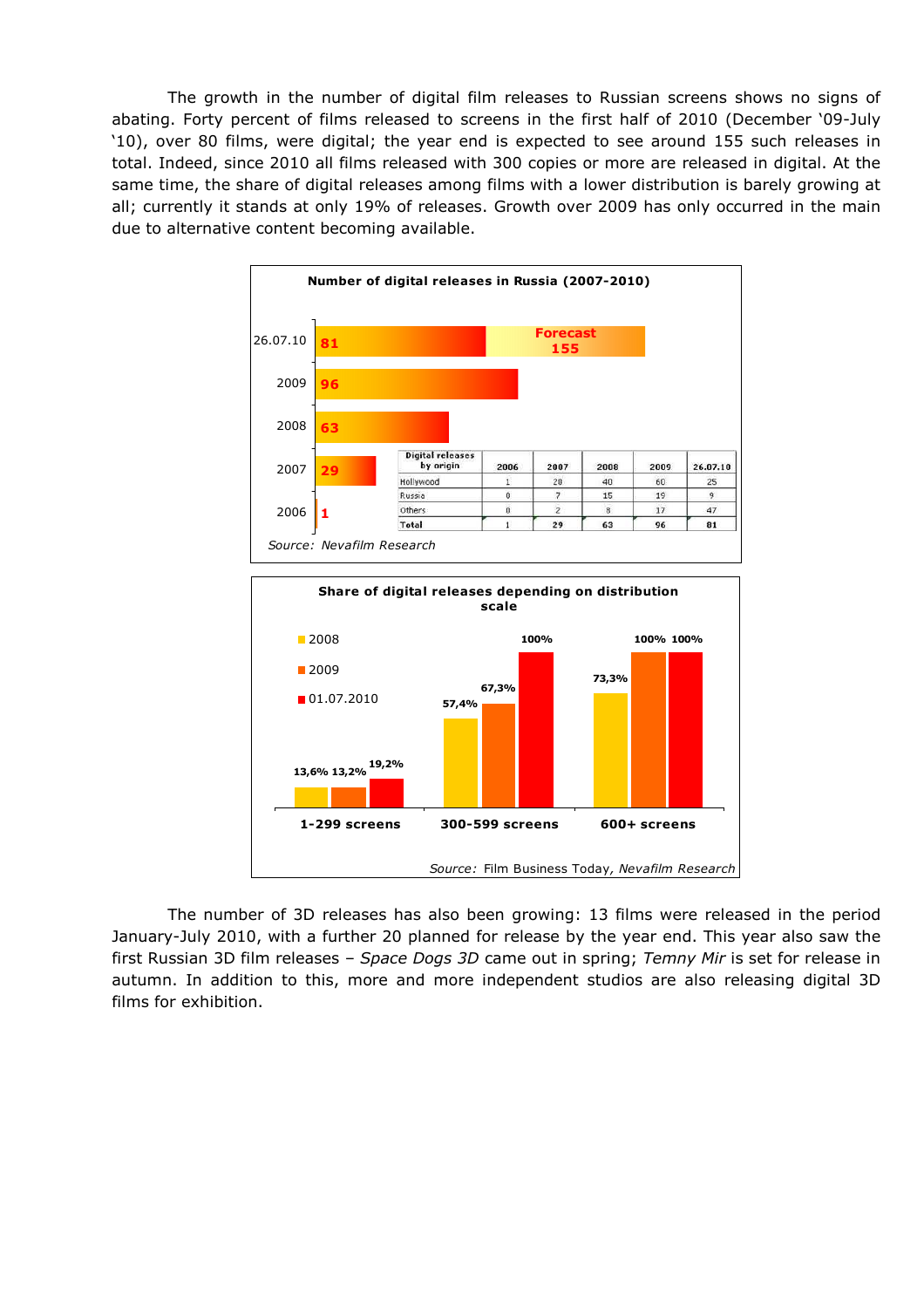The growth in the number of digital film releases to Russian screens shows no signs of abating. Forty percent of films released to screens in the first half of 2010 (December '09-July '10), over 80 films, were digital; the year end is expected to see around 155 such releases in total. Indeed, since 2010 all films released with 300 copies or more are released in digital. At the same time, the share of digital releases among films with a lower distribution is barely growing at all; currently it stands at only 19% of releases. Growth over 2009 has only occurred in the main due to alternative content becoming available.



The number of 3D releases has also been growing: 13 films were released in the period January-July 2010, with a further 20 planned for release by the year end. This year also saw the first Russian 3D film releases – *Space Dogs 3D* came out in spring; *Temny Mir* is set for release in autumn. In addition to this, more and more independent studios are also releasing digital 3D films for exhibition.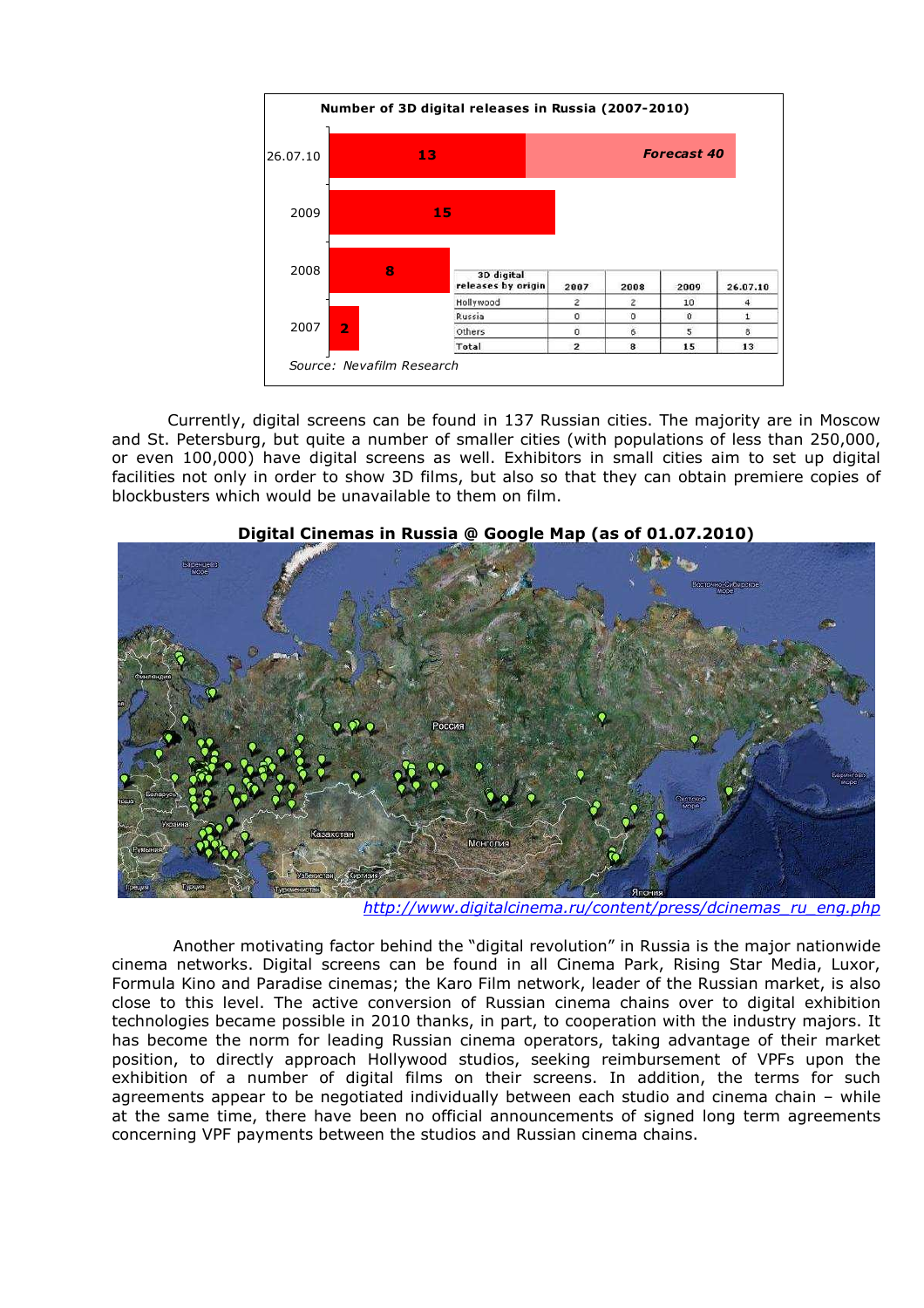

Currently, digital screens can be found in 137 Russian cities. The majority are in Moscow and St. Petersburg, but quite a number of smaller cities (with populations of less than 250,000, or even 100,000) have digital screens as well. Exhibitors in small cities aim to set up digital facilities not only in order to show 3D films, but also so that they can obtain premiere copies of blockbusters which would be unavailable to them on film.



## **Digital Cinemas in Russia @ Google Map (as of 01.07.2010)**

*[http://www.digitalcinema.ru/content/press/dcinemas\\_ru\\_eng.php](http://www.digitalcinema.ru/content/press/dcinemas_ru_eng.php)* 

 Another motivating factor behind the "digital revolution" in Russia is the major nationwide cinema networks. Digital screens can be found in all Cinema Park, Rising Star Media, Luxor, Formula Kino and Paradise cinemas; the Karo Film network, leader of the Russian market, is also close to this level. The active conversion of Russian cinema chains over to digital exhibition technologies became possible in 2010 thanks, in part, to cooperation with the industry majors. It has become the norm for leading Russian cinema operators, taking advantage of their market position, to directly approach Hollywood studios, seeking reimbursement of VPFs upon the exhibition of a number of digital films on their screens. In addition, the terms for such agreements appear to be negotiated individually between each studio and cinema chain – while at the same time, there have been no official announcements of signed long term agreements concerning VPF payments between the studios and Russian cinema chains.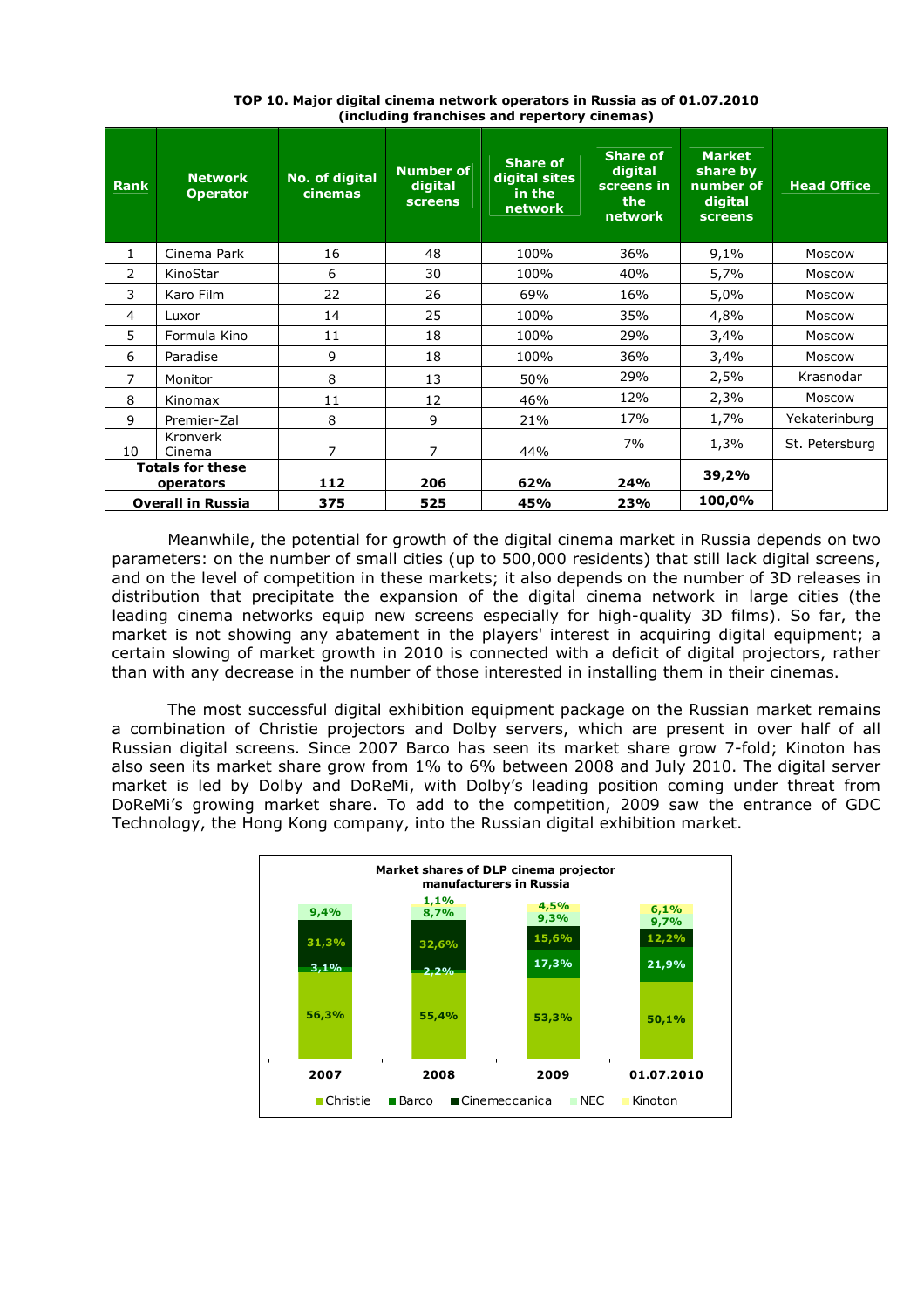| <b>Rank</b>                          | <b>Network</b><br><b>Operator</b> | No. of digital<br>cinemas | <b>Number of</b><br>digital<br><b>screens</b> | <b>Share of</b><br>digital sites<br>in the<br>network | <b>Share of</b><br>digital<br>screens in<br>the<br>network | <b>Market</b><br>share by<br>number of<br>digital<br>screens | <b>Head Office</b> |
|--------------------------------------|-----------------------------------|---------------------------|-----------------------------------------------|-------------------------------------------------------|------------------------------------------------------------|--------------------------------------------------------------|--------------------|
| $\mathbf{1}$                         | Cinema Park                       | 16                        | 48                                            | 100%                                                  | 36%                                                        | 9,1%                                                         | Moscow             |
| 2                                    | KinoStar                          | 6                         | 30                                            | 100%                                                  | 40%                                                        | 5,7%                                                         | Moscow             |
| 3                                    | Karo Film                         | 22                        | 26                                            | 69%                                                   | 16%                                                        | 5,0%                                                         | Moscow             |
| 4                                    | Luxor                             | 14                        | 25                                            | 100%                                                  | 35%                                                        | 4,8%                                                         | Moscow             |
| 5                                    | Formula Kino                      | 11                        | 18                                            | 100%                                                  | 29%                                                        | 3,4%                                                         | Moscow             |
| 6                                    | Paradise                          | 9                         | 18                                            | 100%                                                  | 36%                                                        | 3,4%                                                         | Moscow             |
| 7                                    | Monitor                           | 8                         | 13                                            | 50%                                                   | 29%                                                        | 2,5%                                                         | Krasnodar          |
| 8                                    | Kinomax                           | 11                        | 12                                            | 46%                                                   | 12%                                                        | 2,3%                                                         | Moscow             |
| 9                                    | Premier-Zal                       | 8                         | 9                                             | 21%                                                   | 17%                                                        | 1,7%                                                         | Yekaterinburg      |
| 10                                   | Kronverk<br>Cinema                | 7                         | 7                                             | 44%                                                   | 7%                                                         | 1,3%                                                         | St. Petersburg     |
| <b>Totals for these</b><br>operators |                                   | 112                       | 206                                           | 62%                                                   | 24%                                                        | 39,2%                                                        |                    |
| <b>Overall in Russia</b>             |                                   | 375                       | 525                                           | 45%                                                   | 23%                                                        | 100,0%                                                       |                    |

**TOP 10. Major digital cinema network operators in Russia as of 01.07.2010 (including franchises and repertory cinemas)** 

Meanwhile, the potential for growth of the digital cinema market in Russia depends on two parameters: on the number of small cities (up to 500,000 residents) that still lack digital screens, and on the level of competition in these markets; it also depends on the number of 3D releases in distribution that precipitate the expansion of the digital cinema network in large cities (the leading cinema networks equip new screens especially for high-quality 3D films). So far, the market is not showing any abatement in the players' interest in acquiring digital equipment; a certain slowing of market growth in 2010 is connected with a deficit of digital projectors, rather than with any decrease in the number of those interested in installing them in their cinemas.

The most successful digital exhibition equipment package on the Russian market remains a combination of Christie projectors and Dolby servers, which are present in over half of all Russian digital screens. Since 2007 Barco has seen its market share grow 7-fold; Kinoton has also seen its market share grow from 1% to 6% between 2008 and July 2010. The digital server market is led by Dolby and DoReMi, with Dolby's leading position coming under threat from DoReMi's growing market share. To add to the competition, 2009 saw the entrance of GDC Technology, the Hong Kong company, into the Russian digital exhibition market.